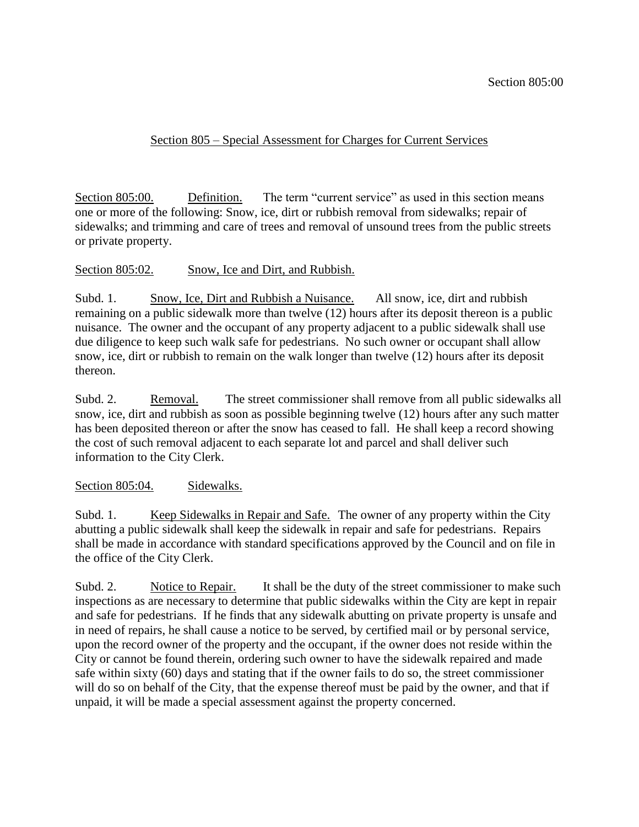## Section 805 – Special Assessment for Charges for Current Services

Section 805:00. Definition. The term "current service" as used in this section means one or more of the following: Snow, ice, dirt or rubbish removal from sidewalks; repair of sidewalks; and trimming and care of trees and removal of unsound trees from the public streets or private property.

## Section 805:02. Snow, Ice and Dirt, and Rubbish.

Subd. 1. Snow, Ice, Dirt and Rubbish a Nuisance. All snow, ice, dirt and rubbish remaining on a public sidewalk more than twelve (12) hours after its deposit thereon is a public nuisance. The owner and the occupant of any property adjacent to a public sidewalk shall use due diligence to keep such walk safe for pedestrians. No such owner or occupant shall allow snow, ice, dirt or rubbish to remain on the walk longer than twelve (12) hours after its deposit thereon.

Subd. 2. Removal. The street commissioner shall remove from all public sidewalks all snow, ice, dirt and rubbish as soon as possible beginning twelve (12) hours after any such matter has been deposited thereon or after the snow has ceased to fall. He shall keep a record showing the cost of such removal adjacent to each separate lot and parcel and shall deliver such information to the City Clerk.

## Section 805:04. Sidewalks.

Subd. 1. Keep Sidewalks in Repair and Safe. The owner of any property within the City abutting a public sidewalk shall keep the sidewalk in repair and safe for pedestrians. Repairs shall be made in accordance with standard specifications approved by the Council and on file in the office of the City Clerk.

Subd. 2. Notice to Repair. It shall be the duty of the street commissioner to make such inspections as are necessary to determine that public sidewalks within the City are kept in repair and safe for pedestrians. If he finds that any sidewalk abutting on private property is unsafe and in need of repairs, he shall cause a notice to be served, by certified mail or by personal service, upon the record owner of the property and the occupant, if the owner does not reside within the City or cannot be found therein, ordering such owner to have the sidewalk repaired and made safe within sixty (60) days and stating that if the owner fails to do so, the street commissioner will do so on behalf of the City, that the expense thereof must be paid by the owner, and that if unpaid, it will be made a special assessment against the property concerned.